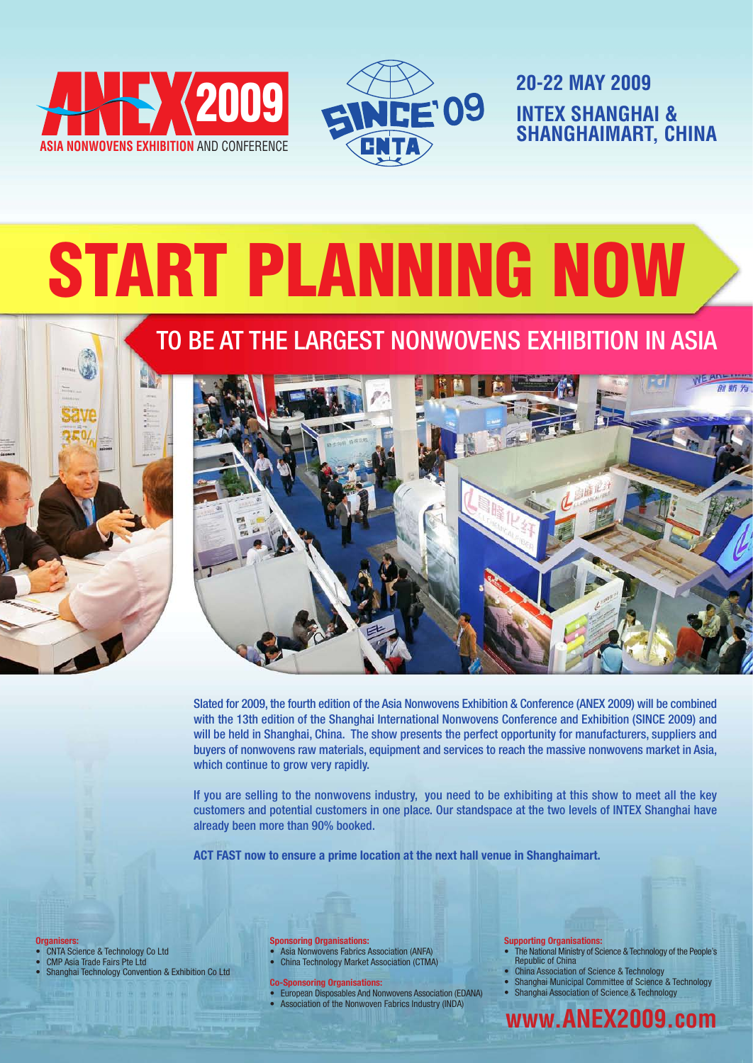



**20-22 MAY 2009 INTEX SHANGHAI &<br>SHANGHAIMART, CI SHANGHAIMART, CHINA**

# START PLANNING NOW

### TO BE AT THE LARGEST NONWOVENS EXHIBITION IN ASIA



Slated for 2009, the fourth edition of the Asia Nonwovens Exhibition & Conference (ANEX 2009) will be combined with the 13th edition of the Shanghai International Nonwovens Conference and Exhibition (SINCE 2009) and will be held in Shanghai, China. The show presents the perfect opportunity for manufacturers, suppliers and buyers of nonwovens raw materials, equipment and services to reach the massive nonwovens market in Asia, which continue to grow very rapidly.

If you are selling to the nonwovens industry, you need to be exhibiting at this show to meet all the key customers and potential customers in one place. Our standspace at the two levels of INTEX Shanghai have already been more than 90% booked.

**ACT FAST now to ensure a prime location at the next hall venue in Shanghaimart.**

**Organisers:**

- CNTA Science & Technology Co Ltd
- CMP Asia Trade Fairs Pte Ltd • Shanghai Technology Convention & Exhibition Co Ltd

#### **Sponsoring Organisations:**

- Asia Nonwovens Fabrics Association (ANFA) • China Technology Market Association (CTMA)
- 
- **Co-Sponsoring Organisations:**
- European Disposables And Nonwovens Association (EDANA) • Association of the Nonwoven Fabrics Industry (INDA)

#### **Supporting Organisations:**

- The National Ministry of Science & Technology of the People's Republic of China
- China Association of Science & Technology
- Shanghai Municipal Committee of Science & Technology
- Shanghai Association of Science & Technology

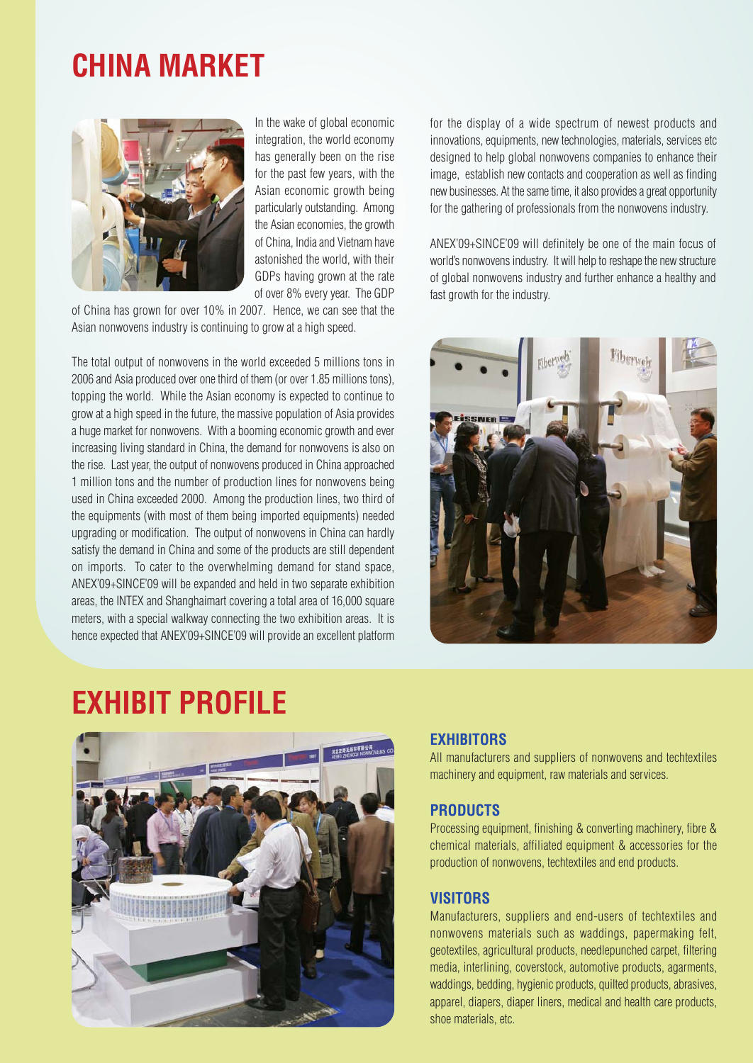### **CHINA MARKET**



In the wake of global economic integration, the world economy has generally been on the rise for the past few years, with the Asian economic growth being particularly outstanding. Among the Asian economies, the growth of China, India and Vietnam have astonished the world, with their GDPs having grown at the rate of over 8% every year. The GDP

of China has grown for over 10% in 2007. Hence, we can see that the Asian nonwovens industry is continuing to grow at a high speed.

The total output of nonwovens in the world exceeded 5 millions tons in 2006 and Asia produced over one third of them (or over 1.85 millions tons), topping the world. While the Asian economy is expected to continue to grow at a high speed in the future, the massive population of Asia provides a huge market for nonwovens. With a booming economic growth and ever increasing living standard in China, the demand for nonwovens is also on the rise. Last year, the output of nonwovens produced in China approached 1 million tons and the number of production lines for nonwovens being used in China exceeded 2000. Among the production lines, two third of the equipments (with most of them being imported equipments) needed upgrading or modification. The output of nonwovens in China can hardly satisfy the demand in China and some of the products are still dependent on imports. To cater to the overwhelming demand for stand space, ANEX'09+SINCE'09 will be expanded and held in two separate exhibition areas, the INTEX and Shanghaimart covering a total area of 16,000 square meters, with a special walkway connecting the two exhibition areas. It is hence expected that ANEX'09+SINCE'09 will provide an excellent platform for the display of a wide spectrum of newest products and innovations, equipments, new technologies, materials, services etc designed to help global nonwovens companies to enhance their image, establish new contacts and cooperation as well as finding new businesses. At the same time, it also provides a great opportunity for the gathering of professionals from the nonwovens industry.

ANEX'09+SINCE'09 will definitely be one of the main focus of world's nonwovens industry. It will help to reshape the new structure of global nonwovens industry and further enhance a healthy and fast growth for the industry.



### **EXHIBIT PROFILE**



### **EXHIBITORS**

All manufacturers and suppliers of nonwovens and techtextiles machinery and equipment, raw materials and services.

### **PRODUCTS**

Processing equipment, finishing & converting machinery, fibre & chemical materials, affiliated equipment & accessories for the production of nonwovens, techtextiles and end products.

### **VISITORS**

Manufacturers, suppliers and end-users of techtextiles and nonwovens materials such as waddings, papermaking felt, geotextiles, agricultural products, needlepunched carpet, filtering media, interlining, coverstock, automotive products, agarments, waddings, bedding, hygienic products, quilted products, abrasives, apparel, diapers, diaper liners, medical and health care products, shoe materials, etc.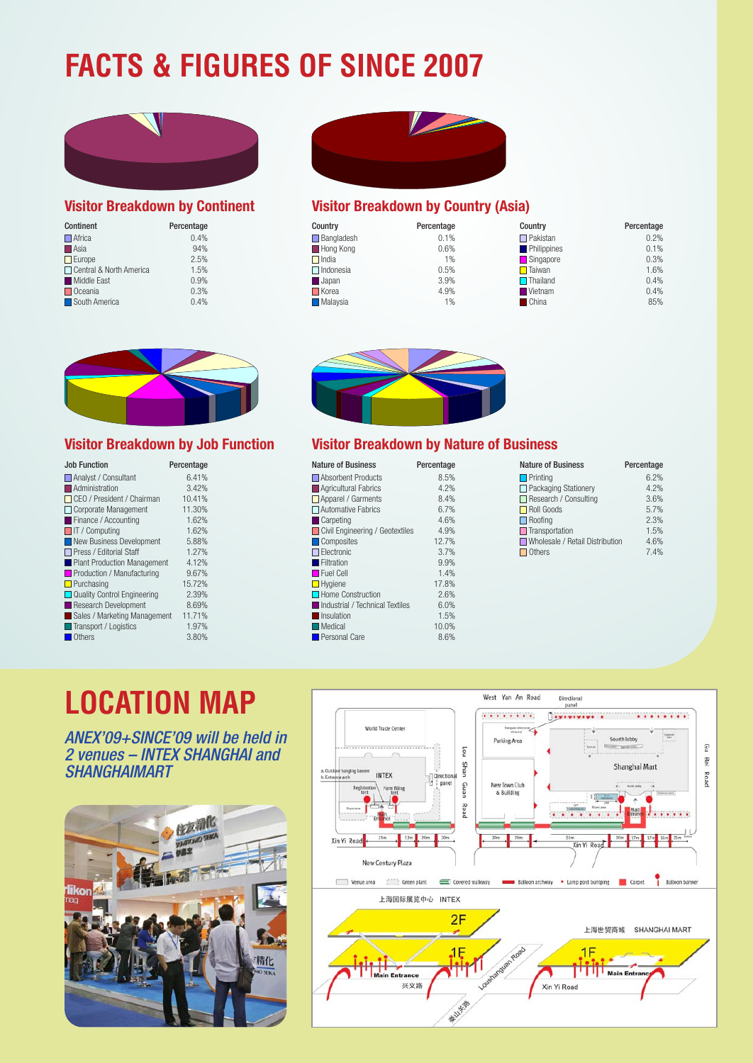## **FACTS & FIGURES OF SINCE 2007**



### **Visitor Breakdown by Continent**

| <b>Continent</b>          | Percentage |  |
|---------------------------|------------|--|
| $\Box$ Africa             | 0.4%       |  |
| $\Box$ Asia               | 94%        |  |
| $\Box$ Europe             | 2.5%       |  |
| □ Central & North America | 1.5%       |  |
| Middle East               | 0.9%       |  |
| $\Box$ Oceania            | 0.3%       |  |
| South America             | 0.4%       |  |



### **Visitor Breakdown by Country (Asia)**

| Country                 | Percentage | Country            | Percentage |
|-------------------------|------------|--------------------|------------|
| $\Box$ Bangladesh       | 0.1%       | $\Box$ Pakistan    | 0.2%       |
| Hong Kong               | 0.6%       | <b>Philippines</b> | 0.1%       |
| $\Box$ India            | 1%         | Singapore          | 0.3%       |
| $\Box$ Indonesia        | 0.5%       | $\Box$ Taiwan      | 1.6%       |
| <b>Japan</b>            | 3.9%       | $\Box$ Thailand    | 0.4%       |
| $\Box$ Korea            | 4.9%       | <b>W</b> Vietnam   | 0.4%       |
| $\blacksquare$ Malaysia | $1\%$      | <b>China</b>       | 85%        |



### **Visitor Breakdown by Job Function**

| <b>Job Function</b>               | Percentage |
|-----------------------------------|------------|
| Analyst / Consultant              | 6.41%      |
| Administration                    | 3.42%      |
| $\Box$ CEO / President / Chairman | 10.41%     |
| $\Box$ Corporate Management       | 11.30%     |
| Finance / Accounting              | 1.62%      |
| $\Box$ IT / Computing             | 1.62%      |
| New Business Development          | 5.88%      |
| □ Press / Fditorial Staff         | 1.27%      |
| Plant Production Management       | 4.12%      |
| Production / Manufacturing        | 9.67%      |
| $\Box$ Purchasing                 | 15.72%     |
| Quality Control Engineering       | 2.39%      |
| Research Development              | 8.69%      |
| Sales / Marketing Management      | 11.71%     |
| Transport / Logistics             | 1.97%      |
| <b>Others</b><br>г                | 3.80%      |



### **Visitor Breakdown by Nature of Business**

| <b>Nature of Business</b>       | Percentage |
|---------------------------------|------------|
| Absorbent Products              | 8.5%       |
| Agricultural Fabrics            | 4.2%       |
| $\Box$ Apparel / Garments       | 8.4%       |
| □ Automative Fabrics            | 6.7%       |
| <b>Carpeting</b>                | 4.6%       |
| Civil Engineering / Geotextiles | 4.9%       |
| Composites                      | 12.7%      |
| $\Box$ Electronic               | 3.7%       |
| Filtration                      | 9.9%       |
| $\Box$ Fuel Cell                | 1.4%       |
| $\Box$ Hygiene                  | 17.8%      |
| Home Construction               | 2.6%       |
| Industrial / Technical Textiles | 6.0%       |
| <b>No Insulation</b>            | 1.5%       |
| $\square$ Medical               | 10.0%      |
| Personal Care                   | 8.6%       |
|                                 |            |

| <b>Nature of Business</b>       | Percentage | <b>Nature of Business</b>       | Percentage |
|---------------------------------|------------|---------------------------------|------------|
| Absorbent Products              | 8.5%       | $\Box$ Printing                 | 6.2%       |
| Agricultural Fabrics            | 4.2%       | $\Box$ Packaging Stationery     | 4.2%       |
| Apparel / Garments              | 8.4%       | Research / Consulting           | 3.6%       |
| Automative Fabrics              | 6.7%       | Roll Goods                      | 5.7%       |
| $\blacksquare$ Carpeting        | 4.6%       | $\Box$ Roofing                  | 2.3%       |
| Civil Engineering / Geotextiles | 4.9%       | $\Box$ Transportation           | 1.5%       |
| Composites                      | 12.7%      | Wholesale / Retail Distribution | 4.6%       |
| $\Box$ Electronic               | 3.7%       | $\Box$ Others                   | 7.4%       |

### **LOCATION MAP**

ANEX'09+SINCE'09 will be held in 2 venues – INTEX SHANGHAI and **SHANGHAIMART** 



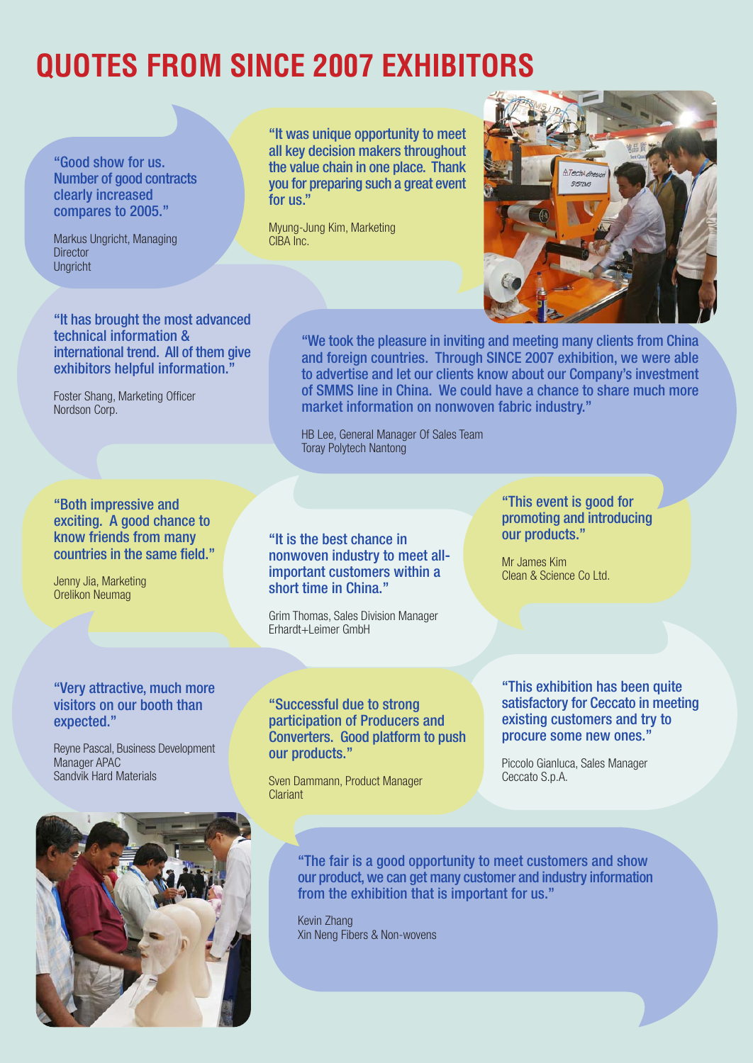### **QUOTES FROM SINCE 2007 EXHIBITORS**

"Good show for us. Number of good contracts clearly increased compares to 2005."

Markus Ungricht, Managing **Director** Ungricht

"It was unique opportunity to meet all key decision makers throughout the value chain in one place. Thank you for preparing such a great event for us."

Myung-Jung Kim, Marketing CIBA Inc.



"It has brought the most advanced technical information & international trend. All of them give exhibitors helpful information."

Foster Shang, Marketing Officer Nordson Corp.

### "Both impressive and exciting. A good chance to know friends from many countries in the same field."

Jenny Jia, Marketing Orelikon Neumag

### "Very attractive, much more visitors on our booth than expected."

Reyne Pascal, Business Development Manager APAC Sandvik Hard Materials



"We took the pleasure in inviting and meeting many clients from China and foreign countries. Through SINCE 2007 exhibition, we were able to advertise and let our clients know about our Company's investment of SMMS line in China. We could have a chance to share much more market information on nonwoven fabric industry."

HB Lee, General Manager Of Sales Team Toray Polytech Nantong

"It is the best chance in nonwoven industry to meet allimportant customers within a short time in China."

Grim Thomas, Sales Division Manager Erhardt+Leimer GmbH

### "This event is good for promoting and introducing our products."

Mr James Kim Clean & Science Co Ltd.

"Successful due to strong participation of Producers and Converters. Good platform to push our products."

Sven Dammann, Product Manager **Clariant** 

"This exhibition has been quite satisfactory for Ceccato in meeting existing customers and try to procure some new ones."

Piccolo Gianluca, Sales Manager Ceccato S.p.A.

"The fair is a good opportunity to meet customers and show our product, we can get many customer and industry information from the exhibition that is important for us."

Kevin Zhang Xin Neng Fibers & Non-wovens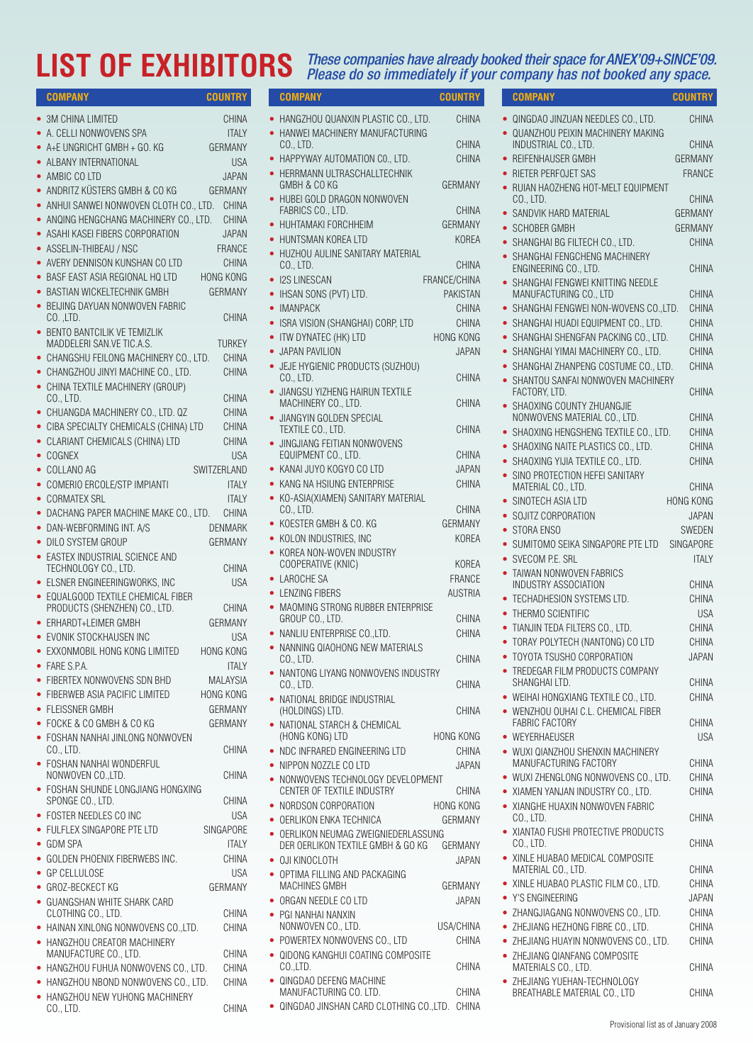### LIST OF EXHIBITORS These companies have already booked their space for ANEX'09+SINCE'09.<br>Please do so immediately if your company has not booked any space.

| <b>COMPANY</b>                                     | <b>COUNTRY</b>   | <b>COMPANY</b>                                          | <b>COUNTRY</b>   | <b>COMPANY</b>                                              | <b>COUNTRY</b>   |
|----------------------------------------------------|------------------|---------------------------------------------------------|------------------|-------------------------------------------------------------|------------------|
| • 3M CHINA LIMITED                                 | <b>CHINA</b>     | • HANGZHOU QUANXIN PLASTIC CO., LTD.                    | <b>CHINA</b>     | · QINGDAO JINZUAN NEEDLES CO., LTD.                         | CHINA            |
| • A. CELLI NONWOVENS SPA                           | <b>ITALY</b>     | • HANWEI MACHINERY MANUFACTURING                        |                  | • QUANZHOU PEIXIN MACHINERY MAKING                          |                  |
| $\bullet$ A+E UNGRICHT GMBH + GO. KG               | <b>GERMANY</b>   | CO., LTD.                                               | <b>CHINA</b>     | INDUSTRIAL CO., LTD.                                        | CHINA            |
| • ALBANY INTERNATIONAL                             | <b>USA</b>       | • HAPPYWAY AUTOMATION CO., LTD.                         | CHINA            | • REIFENHAUSER GMBH                                         | <b>GERMANY</b>   |
| • AMBIC CO LTD                                     | <b>JAPAN</b>     | • HERRMANN ULTRASCHALLTECHNIK                           |                  | • RIETER PERFOJET SAS                                       | FRANCE           |
| • ANDRITZ KÜSTERS GMBH & CO KG                     | <b>GERMANY</b>   | GMBH & CO KG                                            | GERMANY          | • RUIAN HAOZHENG HOT-MELT EQUIPMENT                         |                  |
| • ANHUI SANWEI NONWOVEN CLOTH CO., LTD. CHINA      |                  | • HUBEI GOLD DRAGON NONWOVEN                            |                  | CO., LTD.                                                   | CHINA            |
| • ANQING HENGCHANG MACHINERY CO., LTD.             | CHINA            | FABRICS CO., LTD.                                       | CHINA            | • SANDVIK HARD MATERIAL                                     | <b>GERMANY</b>   |
| • ASAHI KASEI FIBERS CORPORATION                   | <b>JAPAN</b>     | • HUHTAMAKI FORCHHEIM                                   | <b>GERMANY</b>   | • SCHOBER GMBH                                              | <b>GERMANY</b>   |
| • ASSELIN-THIBEAU / NSC                            | <b>FRANCE</b>    | • HUNTSMAN KOREA LTD                                    | <b>KOREA</b>     | • SHANGHAI BG FILTECH CO., LTD.                             | CHINA            |
| • AVERY DENNISON KUNSHAN CO LTD                    | <b>CHINA</b>     | • HUZHOU AULINE SANITARY MATERIAL                       |                  | • SHANGHAI FENGCHENG MACHINERY                              |                  |
| • BASF EAST ASIA REGIONAL HQ LTD                   | <b>HONG KONG</b> | CO., LTD.                                               | CHINA            | ENGINEERING CO., LTD.                                       | CHINA            |
| • BASTIAN WICKELTECHNIK GMBH                       | <b>GERMANY</b>   | • I2S LINESCAN                                          | FRANCE/CHINA     | • SHANGHAI FENGWEI KNITTING NEEDLE                          |                  |
| • BEIJING DAYUAN NONWOVEN FABRIC                   |                  | • IHSAN SONS (PVT) LTD.                                 | <b>PAKISTAN</b>  | MANUFACTURING CO., LTD                                      | CHINA            |
| $CO.$ , $LTD.$                                     | CHINA            | • IMANPACK                                              | <b>CHINA</b>     | • SHANGHAI FENGWEI NON-WOVENS CO., LTD.                     | CHINA            |
| • BENTO BANTCILIK VE TEMIZLIK                      |                  | • ISRA VISION (SHANGHAI) CORP, LTD                      | CHINA            | • SHANGHAI HUADI EQUIPMENT CO., LTD.                        | CHINA            |
| MADDELERI SAN.VE TIC.A.S.                          | <b>TURKEY</b>    | • ITW DYNATEC (HK) LTD                                  | HONG KONG        | • SHANGHAI SHENGFAN PACKING CO., LTD.                       | CHINA            |
| • CHANGSHU FEILONG MACHINERY CO., LTD.             | CHINA            | • JAPAN PAVILION                                        | <b>JAPAN</b>     | • SHANGHAI YIMAI MACHINERY CO., LTD.                        | CHINA            |
| • CHANGZHOU JINYI MACHINE CO., LTD.                | CHINA            | • JEJE HYGIENIC PRODUCTS (SUZHOU)                       |                  | • SHANGHAI ZHANPENG COSTUME CO., LTD.                       | CHINA            |
| • CHINA TEXTILE MACHINERY (GROUP)                  |                  | CO., LTD.                                               | CHINA            | • SHANTOU SANFAI NONWOVEN MACHINERY                         |                  |
| CO., LTD.                                          | CHINA            | • JIANGSU YIZHENG HAIRUN TEXTILE<br>MACHINERY CO., LTD. | CHINA            | FACTORY, LTD.                                               | CHINA            |
| • CHUANGDA MACHINERY CO., LTD. QZ                  | CHINA            | · JIANGYIN GOLDEN SPECIAL                               |                  | • SHAOXING COUNTY ZHUANGJIE<br>NONWOVENS MATERIAL CO., LTD. | CHINA            |
| • CIBA SPECIALTY CHEMICALS (CHINA) LTD             | CHINA            | TEXTILE CO., LTD.                                       | CHINA            | • SHAOXING HENGSHENG TEXTILE CO., LTD.                      | CHINA            |
| • CLARIANT CHEMICALS (CHINA) LTD                   | CHINA            | · JINGJIANG FEITIAN NONWOVENS                           |                  | • SHAOXING NAITE PLASTICS CO., LTD.                         | CHINA            |
| $\bullet$ COGNEX                                   | <b>USA</b>       | EQUIPMENT CO., LTD.                                     | CHINA            |                                                             |                  |
| • COLLANO AG                                       | SWITZERLAND      | • KANAI JUYO KOGYO CO LTD                               | <b>JAPAN</b>     | • SHAOXING YIJIA TEXTILE CO., LTD.                          | CHINA            |
| • COMERIO ERCOLE/STP IMPIANTI                      | <b>ITALY</b>     | • KANG NA HSIUNG ENTERPRISE                             | CHINA            | • SINO PROTECTION HEFEI SANITARY<br>MATERIAL CO., LTD.      | CHINA            |
| • CORMATEX SRL                                     | <b>ITALY</b>     | • KO-ASIA(XIAMEN) SANITARY MATERIAL                     |                  | • SINOTECH ASIA LTD                                         | <b>HONG KONG</b> |
| • DACHANG PAPER MACHINE MAKE CO., LTD.             | CHINA            | CO., LTD.                                               | CHINA            | • SOJITZ CORPORATION                                        | <b>JAPAN</b>     |
| • DAN-WEBFORMING INT. A/S                          | <b>DENMARK</b>   | • KOESTER GMBH & CO. KG                                 | <b>GERMANY</b>   | • STORA ENSO                                                | SWEDEN           |
| • DILO SYSTEM GROUP                                | <b>GERMANY</b>   | • KOLON INDUSTRIES, INC                                 | <b>KOREA</b>     | • SUMITOMO SEIKA SINGAPORE PTE LTD                          | SINGAPORE        |
| • EASTEX INDUSTRIAL SCIENCE AND                    |                  | • KOREA NON-WOVEN INDUSTRY                              |                  | • SVECOM P.E. SRL                                           | <b>ITALY</b>     |
| TECHNOLOGY CO., LTD.                               | CHINA            | COOPERATIVE (KNIC)                                      | KOREA            | • TAIWAN NONWOVEN FABRICS                                   |                  |
| • ELSNER ENGINEERINGWORKS, INC                     | <b>USA</b>       | • LAROCHE SA                                            | <b>FRANCE</b>    | INDUSTRY ASSOCIATION                                        | CHINA            |
| • EQUALGOOD TEXTILE CHEMICAL FIBER                 |                  | • LENZING FIBERS                                        | <b>AUSTRIA</b>   | • TECHADHESION SYSTEMS LTD.                                 | CHINA            |
| PRODUCTS (SHENZHEN) CO., LTD.                      | CHINA            | • MAOMING STRONG RUBBER ENTERPRISE                      |                  | • THERMO SCIENTIFIC                                         | <b>USA</b>       |
| • ERHARDT+LEIMER GMBH                              | <b>GERMANY</b>   | GROUP CO., LTD.                                         | CHINA            | • TIANJIN TEDA FILTERS CO., LTD.                            | CHINA            |
| • EVONIK STOCKHAUSEN INC                           | <b>USA</b>       | • NANLIU ENTERPRISE CO., LTD.                           | <b>CHINA</b>     | • TORAY POLYTECH (NANTONG) CO LTD                           | CHINA            |
| • EXXONMOBIL HONG KONG LIMITED                     | <b>HONG KONG</b> | • NANNING QIAOHONG NEW MATERIALS                        | CHINA            | • TOYOTA TSUSHO CORPORATION                                 | <b>JAPAN</b>     |
| • FARE S.P.A.                                      | <b>ITALY</b>     | $CO1$ , LID.                                            |                  | • TREDEGAR FILM PRODUCTS COMPANY                            |                  |
| • FIBERTEX NONWOVENS SDN BHD                       | <b>MALAYSIA</b>  | • NANTONG LIYANG NONWOVENS INDUSTRY<br>$CO1$ , LTD.     | CHINA            | SHANGHAI LTD.                                               | CHINA            |
| • FIBERWEB ASIA PACIFIC LIMITED                    | <b>HONG KONG</b> | • NATIONAL BRIDGE INDUSTRIAL                            |                  | • WEIHAI HONGXIANG TEXTILE CO., LTD.                        | CHINA            |
| • FLEISSNER GMBH                                   | <b>GERMANY</b>   | (HOLDINGS) LTD.                                         | CHINA            | • WENZHOU OUHAI C.L. CHEMICAL FIBER                         |                  |
| • FOCKE & CO GMBH & CO KG                          | <b>GERMANY</b>   | • NATIONAL STARCH & CHEMICAL                            |                  | <b>FABRIC FACTORY</b>                                       | CHINA            |
| • FOSHAN NANHAI JINLONG NONWOVEN                   |                  | (HONG KONG) LTD                                         | HONG KONG        | • WEYERHAEUSER                                              | <b>USA</b>       |
| CO., LTD.                                          | CHINA            | • NDC INFRARED ENGINEERING LTD                          | <b>CHINA</b>     | · WUXI QIANZHOU SHENXIN MACHINERY                           |                  |
| • FOSHAN NANHAI WONDERFUL                          |                  | • NIPPON NOZZLE CO LTD                                  | <b>JAPAN</b>     | MANUFACTURING FACTORY                                       | CHINA            |
| NONWOVEN CO., LTD.                                 | CHINA            | • NONWOVENS TECHNOLOGY DEVELOPMENT                      |                  | • WUXI ZHENGLONG NONWOVENS CO., LTD.                        | CHINA            |
| • FOSHAN SHUNDE LONGJIANG HONGXING                 | CHINA            | CENTER OF TEXTILE INDUSTRY                              | CHINA            | • XIAMEN YANJAN INDUSTRY CO., LTD.                          | CHINA            |
| SPONGE CO., LTD.                                   |                  | • NORDSON CORPORATION                                   | <b>HONG KONG</b> | • XIANGHE HUAXIN NONWOVEN FABRIC                            |                  |
| • FOSTER NEEDLES CO INC                            | <b>USA</b>       | • OERLIKON ENKA TECHNICA                                | <b>GERMANY</b>   | CO., LTD.                                                   | CHINA            |
| • FULFLEX SINGAPORE PTE LTD                        | SINGAPORE        | • OERLIKON NEUMAG ZWEIGNIEDERLASSUNG                    |                  | • XIANTAO FUSHI PROTECTIVE PRODUCTS                         |                  |
| • GDM SPA                                          | <b>ITALY</b>     | DER OERLIKON TEXTILE GMBH & GO KG                       | GERMANY          | CO., LTD.                                                   | CHINA            |
| • GOLDEN PHOENIX FIBERWEBS INC.                    | CHINA            | • OJI KINOCLOTH                                         | <b>JAPAN</b>     | • XINLE HUABAO MEDICAL COMPOSITE<br>MATERIAL CO., LTD.      | CHINA            |
| • GP CELLULOSE                                     | <b>USA</b>       | • OPTIMA FILLING AND PACKAGING                          |                  | • XINLE HUABAO PLASTIC FILM CO., LTD.                       | CHINA            |
| • GROZ-BECKECT KG                                  | <b>GERMANY</b>   | MACHINES GMBH                                           | GERMANY          | • Y'S ENGINEERING                                           | <b>JAPAN</b>     |
| • GUANGSHAN WHITE SHARK CARD<br>CLOTHING CO., LTD. | CHINA            | • ORGAN NEEDLE CO LTD                                   | <b>JAPAN</b>     | · ZHANGJIAGANG NONWOVENS CO., LTD.                          | CHINA            |
| • HAINAN XINLONG NONWOVENS CO., LTD.               |                  | • PGI NANHAI NANXIN<br>NONWOVEN CO., LTD.               | USA/CHINA        | • ZHEJIANG HEZHONG FIBRE CO., LTD.                          | CHINA            |
| • HANGZHOU CREATOR MACHINERY                       | CHINA            | • POWERTEX NONWOVENS CO., LTD                           | CHINA            | • ZHEJIANG HUAYIN NONWOVENS CO., LTD.                       | CHINA            |
| MANUFACTURE CO., LTD.                              | CHINA            | • QIDONG KANGHUI COATING COMPOSITE                      |                  | • ZHEJIANG QIANFANG COMPOSITE                               |                  |
| • HANGZHOU FUHUA NONWOVENS CO., LTD.               | CHINA            | CO.,LTD.                                                | CHINA            | MATERIALS CO., LTD.                                         | CHINA            |
| • HANGZHOU NBOND NONWOVENS CO., LTD.               | CHINA            | • QINGDAO DEFENG MACHINE                                |                  | • ZHEJIANG YUEHAN-TECHNOLOGY                                |                  |
| • HANGZHOU NEW YUHONG MACHINERY                    |                  | MANUFACTURING CO. LTD.                                  | CHINA            | BREATHABLE MATERIAL CO., LTD                                | CHINA            |
| CO., LTD.                                          | CHINA            | • QINGDAO JINSHAN CARD CLOTHING CO., LTD. CHINA         |                  |                                                             |                  |

| COMPANY                                                      | <b>COUNTRY</b> |
|--------------------------------------------------------------|----------------|
| · QINGDAO JINZUAN NEEDLES CO., LTD.                          | <b>CHINA</b>   |
| • QUANZHOU PEIXIN MACHINERY MAKING                           |                |
| INDUSTRIAL CO., LTD.                                         | CHINA          |
| REIFENHAUSER GMBH                                            | GERMANY        |
| • RIETER PERFOJET SAS                                        | <b>FRANCE</b>  |
| RUIAN HAOZHENG HOT-MELT EQUIPMENT                            |                |
| CO., LTD.                                                    | CHINA          |
| SANDVIK HARD MATERIAL                                        | GERMANY        |
| <b>SCHOBER GMBH</b>                                          | GERMANY        |
| SHANGHAI BG FILTECH CO., LTD.<br>$\bullet$                   | <b>CHINA</b>   |
| SHANGHAI FENGCHENG MACHINERY<br>ENGINEERING CO., LTD.        | CHINA          |
| • SHANGHAI FENGWEI KNITTING NEEDLE                           |                |
| MANUFACTURING CO., LTD                                       | CHINA          |
| SHANGHAI FENGWEI NON-WOVENS CO., LTD.<br>$\bullet$           | CHINA          |
| • SHANGHAI HUADI EQUIPMENT CO., LTD.                         | CHINA          |
| • SHANGHAI SHENGFAN PACKING CO., LTD.                        | CHINA          |
| SHANGHAI YIMAI MACHINERY CO., LTD.<br>$\bullet$              | <b>CHINA</b>   |
| SHANGHAI ZHANPENG COSTUME CO., LTD.<br>$\bullet$             | <b>CHINA</b>   |
| SHANTOU SANFAI NONWOVEN MACHINERY<br>$\bullet$               |                |
| FACTORY, LTD.<br>SHAOXING COUNTY ZHUANGJIE                   | CHINA          |
| NONWOVENS MATERIAL CO., LTD.                                 | CHINA          |
| SHAOXING HENGSHENG TEXTILE CO., LTD.<br>$\bullet$            | CHINA          |
| SHAOXING NAITE PLASTICS CO., LTD.<br>$\bullet$               | CHINA          |
| SHAOXING YIJIA TEXTILE CO., LTD.<br>$\bullet$                | CHINA          |
| SINO PROTECTION HEFEI SANITARY<br>٠                          |                |
| MATERIAL CO., LTD.                                           | CHINA          |
| SINOTECH ASIA LTD                                            | HONG KONG      |
| SOJITZ CORPORATION<br>$\bullet$                              | <b>JAPAN</b>   |
| STORA ENSO<br>$\bullet$                                      | SWEDEN         |
| • SUMITOMO SEIKA SINGAPORE PTE LTD                           | SINGAPORE      |
| • SVECOM P.E. SRL                                            | <b>ITALY</b>   |
| • TAIWAN NONWOVEN FABRICS<br>INDUSTRY ASSOCIATION            | CHINA          |
| • TECHADHESION SYSTEMS LTD.                                  | <b>CHINA</b>   |
| • THERMO SCIENTIFIC                                          | USA            |
| • TIANJIN TEDA FILTERS CO., LTD.                             | CHINA          |
| • TORAY POLYTECH (NANTONG) CO LTD                            | <b>CHINA</b>   |
| TOYOTA TSUSHO CORPORATION                                    | <b>JAPAN</b>   |
| • TREDEGAR FILM PRODUCTS COMPANY                             |                |
| SHANGHAI LTD.                                                | CHINA          |
| • WEIHAI HONGXIANG TEXTILE CO., LTD.                         | CHINA          |
| • WENZHOU OUHAI C.L. CHEMICAL FIBER<br><b>FABRIC FACTORY</b> | CHINA          |
| • WEYERHAEUSER                                               | USA            |
| · WUXI QIANZHOU SHENXIN MACHINERY                            |                |
| MANUFACTURING FACTORY                                        | CHINA          |
| . WUXI ZHENGLONG NONWOVENS CO., LTD.                         | CHINA          |
| · XIAMEN YANJAN INDUSTRY CO., LTD.                           | CHINA          |
| • XIANGHE HUAXIN NONWOVEN FABRIC                             |                |
| CO., LTD.<br>• XIANTAO FUSHI PROTECTIVE PRODUCTS             | CHINA          |
| CO., LTD.                                                    | CHINA          |
| • XINLE HUABAO MEDICAL COMPOSITE                             |                |
| MATERIAL CO., LTD.                                           | CHINA          |
| • XINLE HUABAO PLASTIC FILM CO., LTD.                        | CHINA          |
| • Y'S ENGINEERING                                            | <b>JAPAN</b>   |
| • ZHANGJIAGANG NONWOVENS CO., LTD.                           | CHINA          |
| • ZHEJIANG HEZHONG FIBRE CO., LTD.                           | CHINA          |
| • ZHEJIANG HUAYIN NONWOVENS CO., LTD.                        | <b>CHINA</b>   |
| • ZHEJIANG QIANFANG COMPOSITE<br>MATERIALS CO., LTD.         | CHINA          |
| • ZHEJIANG YUEHAN-TECHNOLOGY                                 |                |
| BREATHABLE MATERIAL CO., LTD                                 | CHINA          |